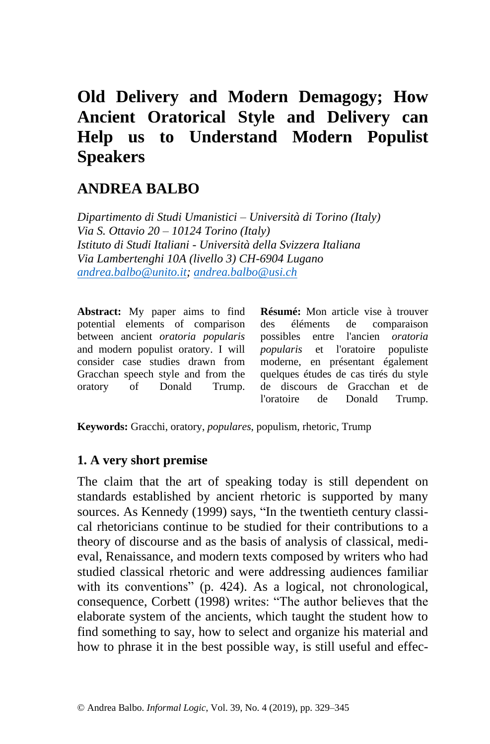# **Old Delivery and Modern Demagogy; How Ancient Oratorical Style and Delivery can Help us to Understand Modern Populist Speakers**

# **ANDREA BALBO**

*Dipartimento di Studi Umanistici – Università di Torino (Italy) Via S. Ottavio 20 – 10124 Torino (Italy) Istituto di Studi Italiani - Università della Svizzera Italiana Via Lambertenghi 10A (livello 3) CH-6904 Lugano [andrea.balbo@unito.it;](mailto:andrea.balbo@unito.it) [andrea.balbo@usi.ch](mailto:andrea.balbo@usi.ch)*

**Abstract:** My paper aims to find potential elements of comparison between ancient *oratoria popularis* and modern populist oratory. I will consider case studies drawn from Gracchan speech style and from the oratory of Donald Trump.

**Résumé:** Mon article vise à trouver des éléments de comparaison possibles entre l'ancien *oratoria popularis* et l'oratoire populiste moderne, en présentant également quelques études de cas tirés du style de discours de Gracchan et de l'oratoire de Donald Trump.

**Keywords:** Gracchi, oratory, *populares*, populism, rhetoric, Trump

#### **1. A very short premise**

The claim that the art of speaking today is still dependent on standards established by ancient rhetoric is supported by many sources. As Kennedy (1999) says, "In the twentieth century classical rhetoricians continue to be studied for their contributions to a theory of discourse and as the basis of analysis of classical, medieval, Renaissance, and modern texts composed by writers who had studied classical rhetoric and were addressing audiences familiar with its conventions" (p. 424). As a logical, not chronological, consequence, Corbett (1998) writes: "The author believes that the elaborate system of the ancients, which taught the student how to find something to say, how to select and organize his material and how to phrase it in the best possible way, is still useful and effec-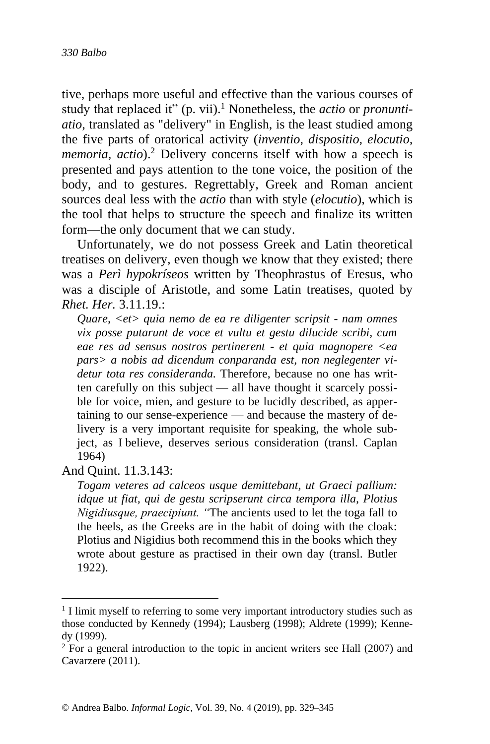tive, perhaps more useful and effective than the various courses of study that replaced it" (p. vii). <sup>1</sup> Nonetheless, the *actio* or *pronuntiatio*, translated as "delivery" in English, is the least studied among the five parts of oratorical activity (*inventio, dispositio, elocutio, memoria, actio*).<sup>2</sup> Delivery concerns itself with how a speech is presented and pays attention to the tone voice, the position of the body, and to gestures. Regrettably, Greek and Roman ancient sources deal less with the *actio* than with style (*elocutio*), which is the tool that helps to structure the speech and finalize its written form—the only document that we can study.

Unfortunately, we do not possess Greek and Latin theoretical treatises on delivery, even though we know that they existed; there was a *Perì hypokríseos* written by Theophrastus of Eresus, who was a disciple of Aristotle, and some Latin treatises, quoted by *Rhet. Her.* 3.11.19.:

*Quare, <et> quia nemo de ea re diligenter scripsit - nam omnes vix posse putarunt de voce et vultu et gestu dilucide scribi, cum eae res ad sensus nostros pertinerent - et quia magnopere <ea pars> a nobis ad dicendum conparanda est, non neglegenter videtur tota res consideranda.* Therefore, because no one has written carefully on this subject — all have thought it scarcely possible for voice, mien, and gesture to be lucidly described, as appertaining to our sense-experience — and because the mastery of delivery is a very important requisite for speaking, the whole subject, as I believe, deserves serious consideration (transl. Caplan 1964)

And Quint. 11.3.143:

*Togam veteres ad calceos usque demittebant, ut Graeci pallium: idque ut fiat, qui de gestu scripserunt circa tempora illa, Plotius Nigidiusque, praecipiunt. "*The ancients used to let the toga fall to the heels, as the Greeks are in the habit of doing with the cloak: Plotius and Nigidius both recommend this in the books which they wrote about gesture as practised in their own day (transl. Butler 1922).

<sup>&</sup>lt;sup>1</sup> I limit myself to referring to some very important introductory studies such as those conducted by Kennedy (1994); Lausberg (1998); Aldrete (1999); Kennedy (1999).

 $2$  For a general introduction to the topic in ancient writers see Hall (2007) and Cavarzere (2011).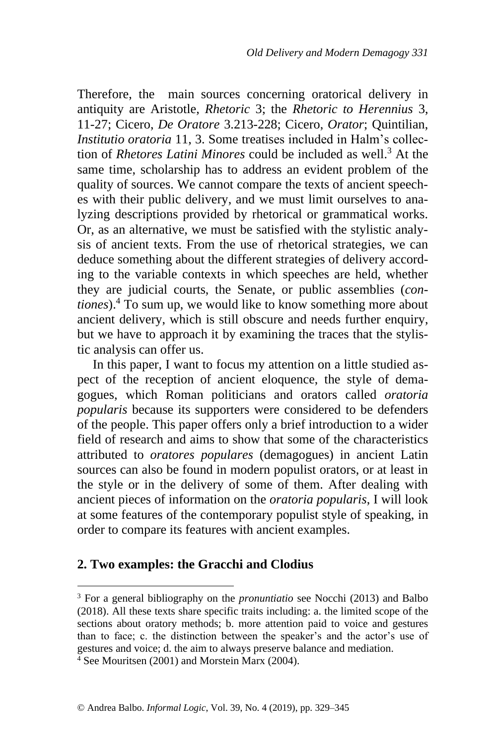Therefore, the main sources concerning oratorical delivery in antiquity are Aristotle, *Rhetoric* 3; the *Rhetoric to Herennius* 3, 11-27; Cicero, *De Oratore* 3.213-228; Cicero, *Orator*; Quintilian, *Institutio oratoria* 11, 3. Some treatises included in Halm's collection of *Rhetores Latini Minores* could be included as well. <sup>3</sup> At the same time, scholarship has to address an evident problem of the quality of sources. We cannot compare the texts of ancient speeches with their public delivery, and we must limit ourselves to analyzing descriptions provided by rhetorical or grammatical works. Or, as an alternative, we must be satisfied with the stylistic analysis of ancient texts. From the use of rhetorical strategies, we can deduce something about the different strategies of delivery according to the variable contexts in which speeches are held, whether they are judicial courts, the Senate, or public assemblies (*contiones*).<sup>4</sup> To sum up, we would like to know something more about ancient delivery, which is still obscure and needs further enquiry, but we have to approach it by examining the traces that the stylistic analysis can offer us.

In this paper, I want to focus my attention on a little studied aspect of the reception of ancient eloquence, the style of demagogues, which Roman politicians and orators called *oratoria popularis* because its supporters were considered to be defenders of the people. This paper offers only a brief introduction to a wider field of research and aims to show that some of the characteristics attributed to *oratores populares* (demagogues) in ancient Latin sources can also be found in modern populist orators, or at least in the style or in the delivery of some of them. After dealing with ancient pieces of information on the *oratoria popularis*, I will look at some features of the contemporary populist style of speaking, in order to compare its features with ancient examples.

### **2. Two examples: the Gracchi and Clodius**

<sup>3</sup> For a general bibliography on the *pronuntiatio* see Nocchi (2013) and Balbo (2018). All these texts share specific traits including: a. the limited scope of the sections about oratory methods; b. more attention paid to voice and gestures than to face; c. the distinction between the speaker's and the actor's use of gestures and voice; d. the aim to always preserve balance and mediation.  $4\overline{4}$  See Mouritsen (2001) and Morstein Marx (2004).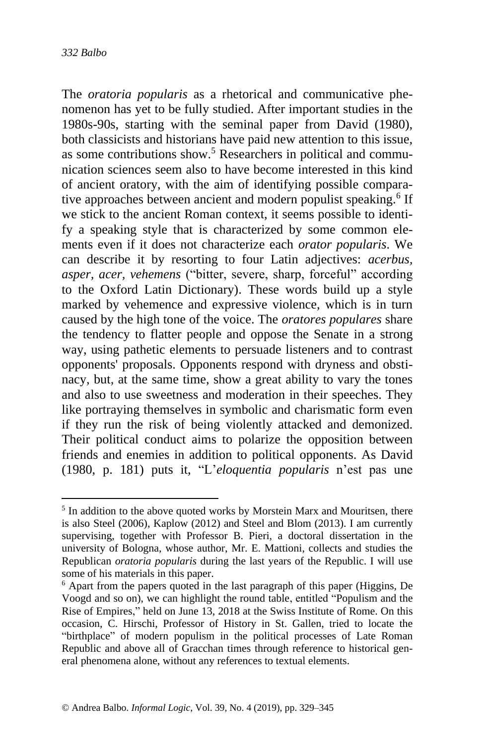The *oratoria popularis* as a rhetorical and communicative phenomenon has yet to be fully studied. After important studies in the 1980s-90s, starting with the seminal paper from David (1980), both classicists and historians have paid new attention to this issue, as some contributions show.<sup>5</sup> Researchers in political and communication sciences seem also to have become interested in this kind of ancient oratory, with the aim of identifying possible comparative approaches between ancient and modern populist speaking.<sup>6</sup> If we stick to the ancient Roman context, it seems possible to identify a speaking style that is characterized by some common elements even if it does not characterize each *orator popularis*. We can describe it by resorting to four Latin adjectives: *acerbus, asper, acer, vehemens* ("bitter, severe, sharp, forceful" according to the Oxford Latin Dictionary). These words build up a style marked by vehemence and expressive violence, which is in turn caused by the high tone of the voice. The *oratores populares* share the tendency to flatter people and oppose the Senate in a strong way, using pathetic elements to persuade listeners and to contrast opponents' proposals. Opponents respond with dryness and obstinacy, but, at the same time, show a great ability to vary the tones and also to use sweetness and moderation in their speeches. They like portraying themselves in symbolic and charismatic form even if they run the risk of being violently attacked and demonized. Their political conduct aims to polarize the opposition between friends and enemies in addition to political opponents. As David (1980, p. 181) puts it, "L'*eloquentia popularis* n'est pas une

<sup>&</sup>lt;sup>5</sup> In addition to the above quoted works by Morstein Marx and Mouritsen, there is also Steel (2006), Kaplow (2012) and Steel and Blom (2013). I am currently supervising, together with Professor B. Pieri, a doctoral dissertation in the university of Bologna, whose author, Mr. E. Mattioni, collects and studies the Republican *oratoria popularis* during the last years of the Republic. I will use some of his materials in this paper.

<sup>6</sup> Apart from the papers quoted in the last paragraph of this paper (Higgins, De Voogd and so on), we can highlight the round table, entitled "Populism and the Rise of Empires," held on June 13, 2018 at the Swiss Institute of Rome. On this occasion, C. Hirschi, Professor of History in St. Gallen, tried to locate the "birthplace" of modern populism in the political processes of Late Roman Republic and above all of Gracchan times through reference to historical general phenomena alone, without any references to textual elements.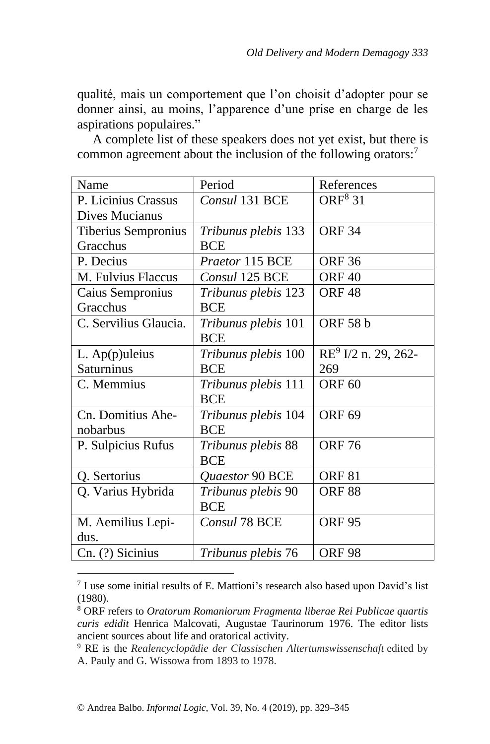qualité, mais un comportement que l'on choisit d'adopter pour se donner ainsi, au moins, l'apparence d'une prise en charge de les aspirations populaires."

A complete list of these speakers does not yet exist, but there is common agreement about the inclusion of the following orators:<sup>7</sup>

| Name                  | Period                     | References                      |
|-----------------------|----------------------------|---------------------------------|
| P. Licinius Crassus   | Consul 131 BCE             | ORF <sup>8</sup> 31             |
| Dives Mucianus        |                            |                                 |
| Tiberius Sempronius   | <i>Tribunus plebis</i> 133 | <b>ORF 34</b>                   |
| Gracchus              | <b>BCE</b>                 |                                 |
| P. Decius             | Praetor 115 BCE            | <b>ORF 36</b>                   |
| M. Fulvius Flaccus    | Consul 125 BCE             | ORF <sub>40</sub>               |
| Caius Sempronius      | Tribunus plebis 123        | <b>ORF48</b>                    |
| Gracchus              | <b>BCE</b>                 |                                 |
| C. Servilius Glaucia. | <i>Tribunus plebis</i> 101 | <b>ORF 58 b</b>                 |
|                       | <b>BCE</b>                 |                                 |
| $L.$ Ap $(p)$ uleius  | <i>Tribunus plebis</i> 100 | RE <sup>9</sup> I/2 n. 29, 262- |
| Saturninus            | <b>BCE</b>                 | 269                             |
| C. Memmius            | <i>Tribunus plebis</i> 111 | ORF <sub>60</sub>               |
|                       | <b>BCE</b>                 |                                 |
| Cn. Domitius Ahe-     | <i>Tribunus plebis</i> 104 | <b>ORF 69</b>                   |
| nobarbus              | <b>BCE</b>                 |                                 |
| P. Sulpicius Rufus    | Tribunus plebis 88         | <b>ORF 76</b>                   |
|                       | <b>BCE</b>                 |                                 |
| Q. Sertorius          | <b>Ouaestor 90 BCE</b>     | ORF <sub>81</sub>               |
| Q. Varius Hybrida     | Tribunus plebis 90         | <b>ORF 88</b>                   |
|                       | <b>BCE</b>                 |                                 |
| M. Aemilius Lepi-     | Consul 78 BCE              | <b>ORF 95</b>                   |
| dus.                  |                            |                                 |
| Cn. (?) Sicinius      | Tribunus plebis 76         | <b>ORF 98</b>                   |

<sup>7</sup> I use some initial results of E. Mattioni's research also based upon David's list (1980).

<sup>8</sup> ORF refers to *Oratorum Romaniorum Fragmenta liberae Rei Publicae quartis curis edidit* Henrica Malcovati, Augustae Taurinorum 1976. The editor lists ancient sources about life and oratorical activity.

<sup>9</sup> RE is the *Realencyclopädie der Classischen Altertumswissenschaft* edited by A. Pauly and G. Wissowa from 1893 to 1978.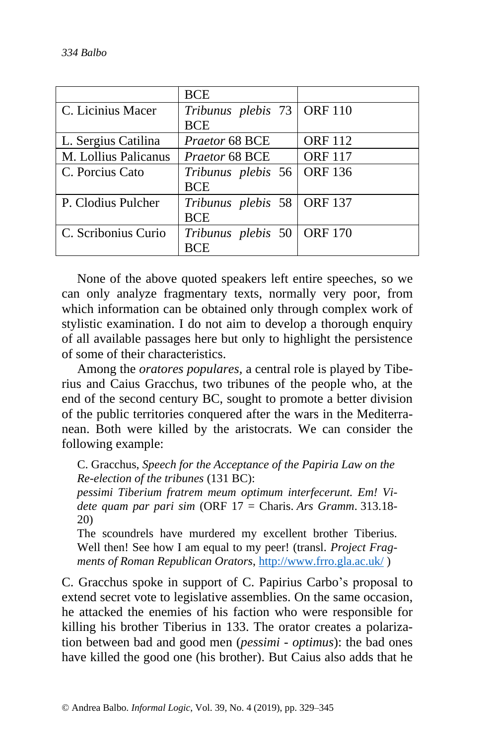|                      | <b>BCE</b>                   |                |
|----------------------|------------------------------|----------------|
| C. Licinius Macer    | Tribunus plebis 73   ORF 110 |                |
|                      | <b>BCE</b>                   |                |
| L. Sergius Catilina  | Praetor 68 BCE               | <b>ORF</b> 112 |
| M. Lollius Palicanus | Praetor 68 BCE               | <b>ORF</b> 117 |
| C. Porcius Cato      | Tribunus plebis 56           | <b>ORF 136</b> |
|                      | <b>BCE</b>                   |                |
| P. Clodius Pulcher   | Tribunus plebis 58   ORF 137 |                |
|                      | <b>BCE</b>                   |                |
| C. Scribonius Curio  | Tribunus plebis 50   ORF 170 |                |
|                      | <b>RCE</b>                   |                |

None of the above quoted speakers left entire speeches, so we can only analyze fragmentary texts, normally very poor, from which information can be obtained only through complex work of stylistic examination. I do not aim to develop a thorough enquiry of all available passages here but only to highlight the persistence of some of their characteristics.

Among the *oratores populares,* a central role is played by Tiberius and Caius Gracchus, two tribunes of the people who, at the end of the second century BC, sought to promote a better division of the public territories conquered after the wars in the Mediterranean. Both were killed by the aristocrats. We can consider the following example:

C. Gracchus, *Speech for the Acceptance of the Papiria Law on the Re-election of the tribunes* (131 BC):

*pessimi Tiberium fratrem meum optimum interfecerunt. Em! Videte quam par pari sim* (ORF 17 = Charis. *Ars Gramm*. 313.18- 20)

The scoundrels have murdered my excellent brother Tiberius. Well then! See how I am equal to my peer! (transl. *Project Fragments of Roman Republican Orators*,<http://www.frro.gla.ac.uk/> )

C. Gracchus spoke in support of C. Papirius Carbo's proposal to extend secret vote to legislative assemblies. On the same occasion, he attacked the enemies of his faction who were responsible for killing his brother Tiberius in 133. The orator creates a polarization between bad and good men (*pessimi - optimus*): the bad ones have killed the good one (his brother). But Caius also adds that he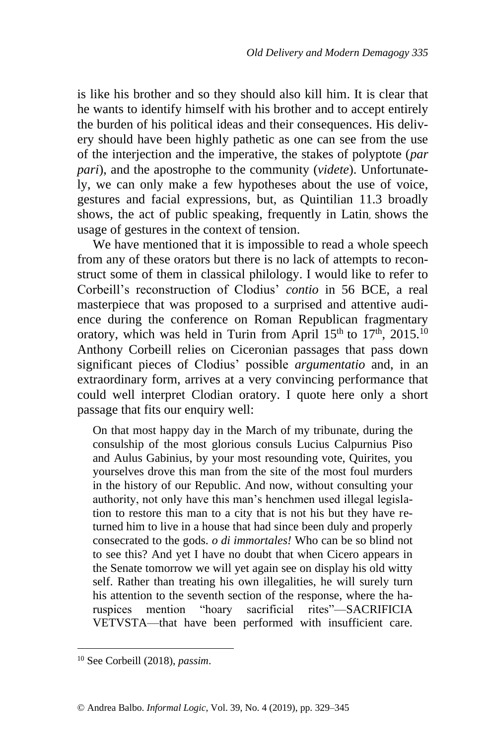is like his brother and so they should also kill him. It is clear that he wants to identify himself with his brother and to accept entirely the burden of his political ideas and their consequences. His delivery should have been highly pathetic as one can see from the use of the interjection and the imperative, the stakes of polyptote (*par pari*), and the apostrophe to the community (*videte*). Unfortunately, we can only make a few hypotheses about the use of voice, gestures and facial expressions, but, as Quintilian 11.3 broadly shows, the act of public speaking, frequently in Latin, shows the usage of gestures in the context of tension.

We have mentioned that it is impossible to read a whole speech from any of these orators but there is no lack of attempts to reconstruct some of them in classical philology. I would like to refer to Corbeill's reconstruction of Clodius' *contio* in 56 BCE, a real masterpiece that was proposed to a surprised and attentive audience during the conference on Roman Republican fragmentary oratory, which was held in Turin from April  $15<sup>th</sup>$  to  $17<sup>th</sup>$ ,  $2015<sup>10</sup>$ Anthony Corbeill relies on Ciceronian passages that pass down significant pieces of Clodius' possible *argumentatio* and, in an extraordinary form, arrives at a very convincing performance that could well interpret Clodian oratory. I quote here only a short passage that fits our enquiry well:

On that most happy day in the March of my tribunate, during the consulship of the most glorious consuls Lucius Calpurnius Piso and Aulus Gabinius, by your most resounding vote, Quirites, you yourselves drove this man from the site of the most foul murders in the history of our Republic. And now, without consulting your authority, not only have this man's henchmen used illegal legislation to restore this man to a city that is not his but they have returned him to live in a house that had since been duly and properly consecrated to the gods. *o di immortales!* Who can be so blind not to see this? And yet I have no doubt that when Cicero appears in the Senate tomorrow we will yet again see on display his old witty self. Rather than treating his own illegalities, he will surely turn his attention to the seventh section of the response, where the haruspices mention "hoary sacrificial rites"—SACRIFICIA VETVSTA—that have been performed with insufficient care.

<sup>10</sup> See Corbeill (2018), *passim*.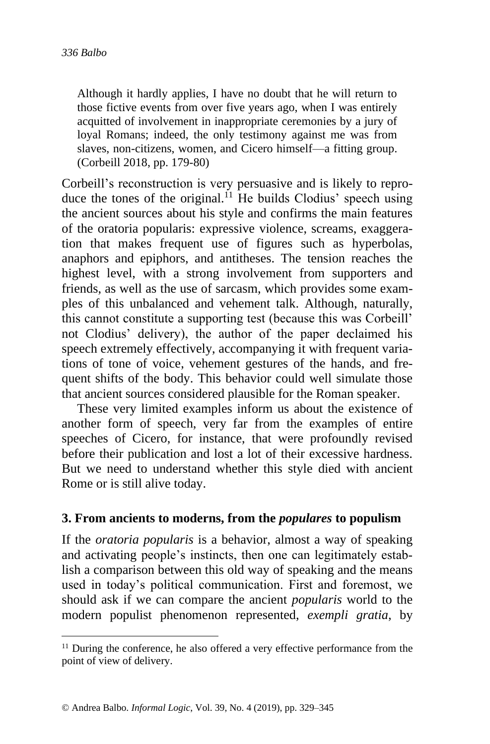Although it hardly applies, I have no doubt that he will return to those fictive events from over five years ago, when I was entirely acquitted of involvement in inappropriate ceremonies by a jury of loyal Romans; indeed, the only testimony against me was from slaves, non-citizens, women, and Cicero himself—a fitting group. (Corbeill 2018, pp. 179-80)

Corbeill's reconstruction is very persuasive and is likely to reproduce the tones of the original.<sup>11</sup> He builds Clodius' speech using the ancient sources about his style and confirms the main features of the oratoria popularis: expressive violence, screams, exaggeration that makes frequent use of figures such as hyperbolas, anaphors and epiphors, and antitheses. The tension reaches the highest level, with a strong involvement from supporters and friends, as well as the use of sarcasm, which provides some examples of this unbalanced and vehement talk. Although, naturally, this cannot constitute a supporting test (because this was Corbeill' not Clodius' delivery), the author of the paper declaimed his speech extremely effectively, accompanying it with frequent variations of tone of voice, vehement gestures of the hands, and frequent shifts of the body. This behavior could well simulate those that ancient sources considered plausible for the Roman speaker.

These very limited examples inform us about the existence of another form of speech, very far from the examples of entire speeches of Cicero, for instance, that were profoundly revised before their publication and lost a lot of their excessive hardness. But we need to understand whether this style died with ancient Rome or is still alive today.

#### **3. From ancients to moderns, from the** *populares* **to populism**

If the *oratoria popularis* is a behavior, almost a way of speaking and activating people's instincts, then one can legitimately establish a comparison between this old way of speaking and the means used in today's political communication. First and foremost, we should ask if we can compare the ancient *popularis* world to the modern populist phenomenon represented, *exempli gratia*, by

 $11$  During the conference, he also offered a very effective performance from the point of view of delivery.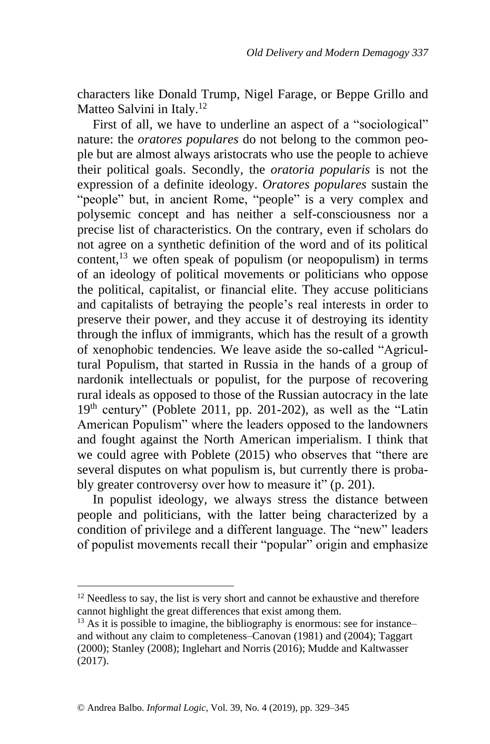characters like Donald Trump, Nigel Farage, or Beppe Grillo and Matteo Salvini in Italy.<sup>12</sup>

First of all, we have to underline an aspect of a "sociological" nature: the *oratores populares* do not belong to the common people but are almost always aristocrats who use the people to achieve their political goals. Secondly, the *oratoria popularis* is not the expression of a definite ideology. *Oratores populares* sustain the "people" but, in ancient Rome, "people" is a very complex and polysemic concept and has neither a self-consciousness nor a precise list of characteristics. On the contrary, even if scholars do not agree on a synthetic definition of the word and of its political content,  $^{13}$  we often speak of populism (or neopopulism) in terms of an ideology of political movements or politicians who oppose the political, capitalist, or financial elite. They accuse politicians and capitalists of betraying the people's real interests in order to preserve their power, and they accuse it of destroying its identity through the influx of immigrants, which has the result of a growth of xenophobic tendencies. We leave aside the so-called "Agricultural Populism, that started in Russia in the hands of a group of nardonik intellectuals or populist, for the purpose of recovering rural ideals as opposed to those of the Russian autocracy in the late  $19<sup>th</sup>$  century" (Poblete 2011, pp. 201-202), as well as the "Latin American Populism" where the leaders opposed to the landowners and fought against the North American imperialism. I think that we could agree with Poblete (2015) who observes that "there are several disputes on what populism is, but currently there is probably greater controversy over how to measure it" (p. 201).

In populist ideology, we always stress the distance between people and politicians, with the latter being characterized by a condition of privilege and a different language. The "new" leaders of populist movements recall their "popular" origin and emphasize

 $12$  Needless to say, the list is very short and cannot be exhaustive and therefore cannot highlight the great differences that exist among them.

 $13$  As it is possible to imagine, the bibliography is enormous: see for instance– and without any claim to completeness–Canovan (1981) and (2004); Taggart (2000); Stanley (2008); Inglehart and Norris (2016); Mudde and Kaltwasser (2017).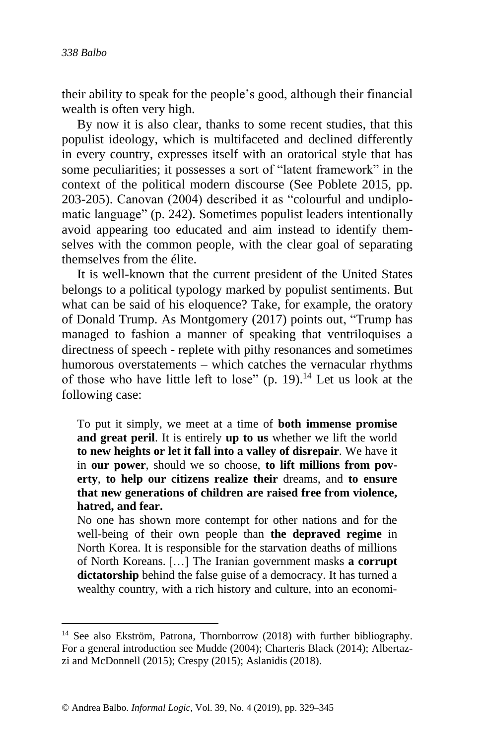their ability to speak for the people's good, although their financial wealth is often very high.

By now it is also clear, thanks to some recent studies, that this populist ideology, which is multifaceted and declined differently in every country, expresses itself with an oratorical style that has some peculiarities; it possesses a sort of "latent framework" in the context of the political modern discourse (See Poblete 2015, pp. 203-205). Canovan (2004) described it as "colourful and undiplomatic language" (p. 242). Sometimes populist leaders intentionally avoid appearing too educated and aim instead to identify themselves with the common people, with the clear goal of separating themselves from the élite.

It is well-known that the current president of the United States belongs to a political typology marked by populist sentiments. But what can be said of his eloquence? Take, for example, the oratory of Donald Trump. As Montgomery (2017) points out, "Trump has managed to fashion a manner of speaking that ventriloquises a directness of speech - replete with pithy resonances and sometimes humorous overstatements – which catches the vernacular rhythms of those who have little left to lose"  $(p. 19)$ .<sup>14</sup> Let us look at the following case:

To put it simply, we meet at a time of **both immense promise and great peril**. It is entirely **up to us** whether we lift the world **to new heights or let it fall into a valley of disrepair**. We have it in **our power**, should we so choose, **to lift millions from poverty**, **to help our citizens realize their** dreams, and **to ensure that new generations of children are raised free from violence, hatred, and fear.**

No one has shown more contempt for other nations and for the well-being of their own people than **the depraved regime** in North Korea. It is responsible for the starvation deaths of millions of North Koreans. […] The Iranian government masks **a corrupt dictatorship** behind the false guise of a democracy. It has turned a wealthy country, with a rich history and culture, into an economi-

<sup>&</sup>lt;sup>14</sup> See also Ekström, Patrona, Thornborrow (2018) with further bibliography. For a general introduction see Mudde (2004); Charteris Black (2014); Albertazzi and McDonnell (2015); Crespy (2015); Aslanidis (2018).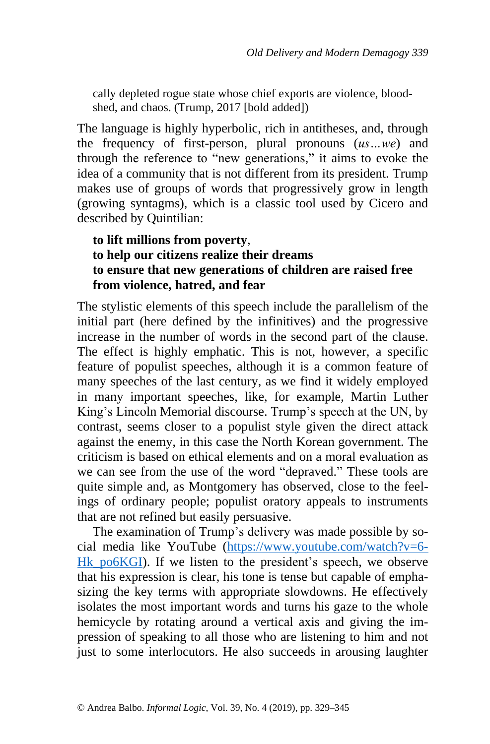cally depleted rogue state whose chief exports are violence, bloodshed, and chaos. (Trump, 2017 [bold added])

The language is highly hyperbolic, rich in antitheses, and, through the frequency of first-person, plural pronouns (*us…we*) and through the reference to "new generations," it aims to evoke the idea of a community that is not different from its president. Trump makes use of groups of words that progressively grow in length (growing syntagms), which is a classic tool used by Cicero and described by Quintilian:

# **to lift millions from poverty**, **to help our citizens realize their dreams to ensure that new generations of children are raised free from violence, hatred, and fear**

The stylistic elements of this speech include the parallelism of the initial part (here defined by the infinitives) and the progressive increase in the number of words in the second part of the clause. The effect is highly emphatic. This is not, however, a specific feature of populist speeches, although it is a common feature of many speeches of the last century, as we find it widely employed in many important speeches, like, for example, Martin Luther King's Lincoln Memorial discourse. Trump's speech at the UN, by contrast, seems closer to a populist style given the direct attack against the enemy, in this case the North Korean government. The criticism is based on ethical elements and on a moral evaluation as we can see from the use of the word "depraved." These tools are quite simple and, as Montgomery has observed, close to the feelings of ordinary people; populist oratory appeals to instruments that are not refined but easily persuasive.

The examination of Trump's delivery was made possible by social media like YouTube [\(https://www.youtube.com/watch?v=6-](https://www.youtube.com/watch?v=6-Hk_po6KGI) Hk po6KGI). If we listen to the president's speech, we observe that his expression is clear, his tone is tense but capable of emphasizing the key terms with appropriate slowdowns. He effectively isolates the most important words and turns his gaze to the whole hemicycle by rotating around a vertical axis and giving the impression of speaking to all those who are listening to him and not just to some interlocutors. He also succeeds in arousing laughter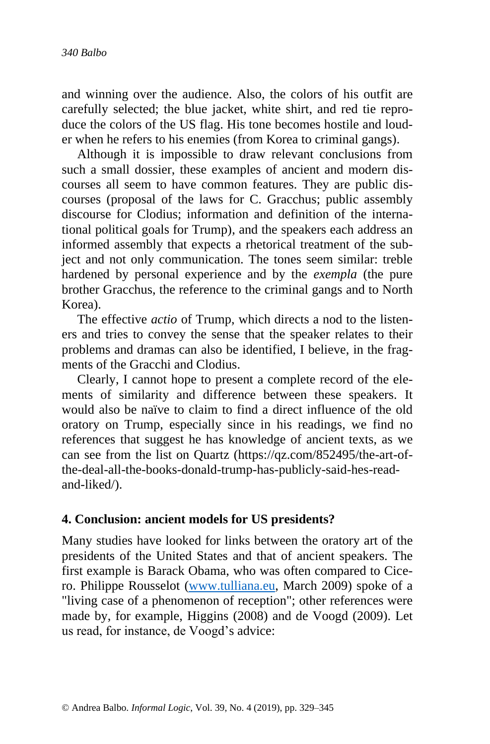and winning over the audience. Also, the colors of his outfit are carefully selected; the blue jacket, white shirt, and red tie reproduce the colors of the US flag. His tone becomes hostile and louder when he refers to his enemies (from Korea to criminal gangs).

Although it is impossible to draw relevant conclusions from such a small dossier, these examples of ancient and modern discourses all seem to have common features. They are public discourses (proposal of the laws for C. Gracchus; public assembly discourse for Clodius; information and definition of the international political goals for Trump), and the speakers each address an informed assembly that expects a rhetorical treatment of the subject and not only communication. The tones seem similar: treble hardened by personal experience and by the *exempla* (the pure brother Gracchus, the reference to the criminal gangs and to North Korea).

The effective *actio* of Trump, which directs a nod to the listeners and tries to convey the sense that the speaker relates to their problems and dramas can also be identified, I believe, in the fragments of the Gracchi and Clodius.

Clearly, I cannot hope to present a complete record of the elements of similarity and difference between these speakers. It would also be naïve to claim to find a direct influence of the old oratory on Trump, especially since in his readings, we find no references that suggest he has knowledge of ancient texts, as we can see from the list on Quartz (https://qz.com/852495/the-art-ofthe-deal-all-the-books-donald-trump-has-publicly-said-hes-readand-liked/).

#### **4. Conclusion: ancient models for US presidents?**

Many studies have looked for links between the oratory art of the presidents of the United States and that of ancient speakers. The first example is Barack Obama, who was often compared to Cicero. Philippe Rousselot [\(www.tulliana.eu,](http://www.tulliana.eu/) March 2009) spoke of a "living case of a phenomenon of reception"; other references were made by, for example, Higgins (2008) and de Voogd (2009). Let us read, for instance, de Voogd's advice: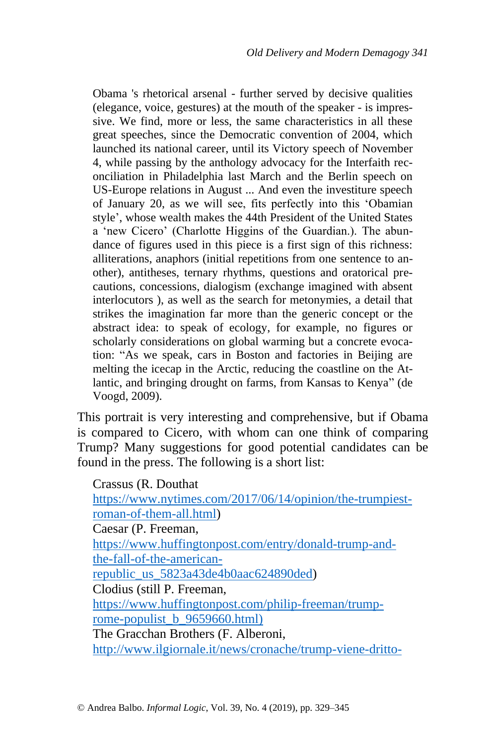Obama 's rhetorical arsenal - further served by decisive qualities (elegance, voice, gestures) at the mouth of the speaker - is impressive. We find, more or less, the same characteristics in all these great speeches, since the Democratic convention of 2004, which launched its national career, until its Victory speech of November 4, while passing by the anthology advocacy for the Interfaith reconciliation in Philadelphia last March and the Berlin speech on US-Europe relations in August ... And even the investiture speech of January 20, as we will see, fits perfectly into this 'Obamian style', whose wealth makes the 44th President of the United States a 'new Cicero' (Charlotte Higgins of the Guardian.). The abundance of figures used in this piece is a first sign of this richness: alliterations, anaphors (initial repetitions from one sentence to another), antitheses, ternary rhythms, questions and oratorical precautions, concessions, dialogism (exchange imagined with absent interlocutors ), as well as the search for metonymies, a detail that strikes the imagination far more than the generic concept or the abstract idea: to speak of ecology, for example, no figures or scholarly considerations on global warming but a concrete evocation: "As we speak, cars in Boston and factories in Beijing are melting the icecap in the Arctic, reducing the coastline on the Atlantic, and bringing drought on farms, from Kansas to Kenya" (de Voogd, 2009).

This portrait is very interesting and comprehensive, but if Obama is compared to Cicero, with whom can one think of comparing Trump? Many suggestions for good potential candidates can be found in the press. The following is a short list:

| Crassus (R. Douthat                                        |
|------------------------------------------------------------|
| https://www.nytimes.com/2017/06/14/opinion/the-trumpiest-  |
| roman-of-them-all.html)                                    |
| Caesar (P. Freeman,                                        |
| https://www.huffingtonpost.com/entry/donald-trump-and-     |
| the-fall-of-the-american-                                  |
| republic_us_5823a43de4b0aac624890ded)                      |
| Clodius (still P. Freeman,                                 |
| https://www.huffingtonpost.com/philip-freeman/trump-       |
| rome-populist_b_9659660.html)                              |
| The Gracchan Brothers (F. Alberoni,                        |
| http://www.ilgiornale.it/news/cronache/trump-viene-dritto- |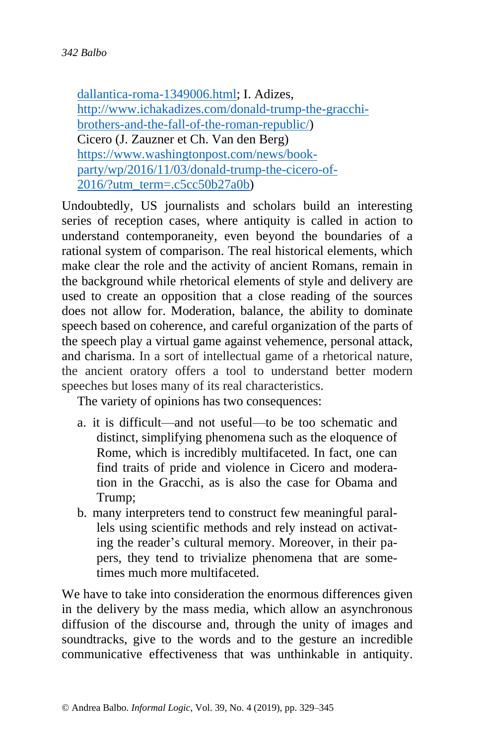[dallantica-roma-1349006.html;](http://www.ilgiornale.it/news/cronache/trump-viene-dritto-dallantica-roma-1349006.html) I. Adizes, [http://www.ichakadizes.com/donald-trump-the-gracchi](http://www.ichakadizes.com/donald-trump-the-gracchi-brothers-and-the-fall-of-the-roman-republic/)[brothers-and-the-fall-of-the-roman-republic/\)](http://www.ichakadizes.com/donald-trump-the-gracchi-brothers-and-the-fall-of-the-roman-republic/) Cicero (J. Zauzner et Ch. Van den Berg) [https://www.washingtonpost.com/news/book](https://www.washingtonpost.com/news/book-party/wp/2016/11/03/donald-trump-the-cicero-of-2016/?utm_term=.c5cc50b27a0b)[party/wp/2016/11/03/donald-trump-the-cicero-of-](https://www.washingtonpost.com/news/book-party/wp/2016/11/03/donald-trump-the-cicero-of-2016/?utm_term=.c5cc50b27a0b)[2016/?utm\\_term=.c5cc50b27a0b\)](https://www.washingtonpost.com/news/book-party/wp/2016/11/03/donald-trump-the-cicero-of-2016/?utm_term=.c5cc50b27a0b)

Undoubtedly, US journalists and scholars build an interesting series of reception cases, where antiquity is called in action to understand contemporaneity, even beyond the boundaries of a rational system of comparison. The real historical elements, which make clear the role and the activity of ancient Romans, remain in the background while rhetorical elements of style and delivery are used to create an opposition that a close reading of the sources does not allow for. Moderation, balance, the ability to dominate speech based on coherence, and careful organization of the parts of the speech play a virtual game against vehemence, personal attack, and charisma. In a sort of intellectual game of a rhetorical nature, the ancient oratory offers a tool to understand better modern speeches but loses many of its real characteristics.

The variety of opinions has two consequences:

- a. it is difficult—and not useful—to be too schematic and distinct, simplifying phenomena such as the eloquence of Rome, which is incredibly multifaceted. In fact, one can find traits of pride and violence in Cicero and moderation in the Gracchi, as is also the case for Obama and Trump;
- b. many interpreters tend to construct few meaningful parallels using scientific methods and rely instead on activating the reader's cultural memory. Moreover, in their papers, they tend to trivialize phenomena that are sometimes much more multifaceted.

We have to take into consideration the enormous differences given in the delivery by the mass media, which allow an asynchronous diffusion of the discourse and, through the unity of images and soundtracks, give to the words and to the gesture an incredible communicative effectiveness that was unthinkable in antiquity.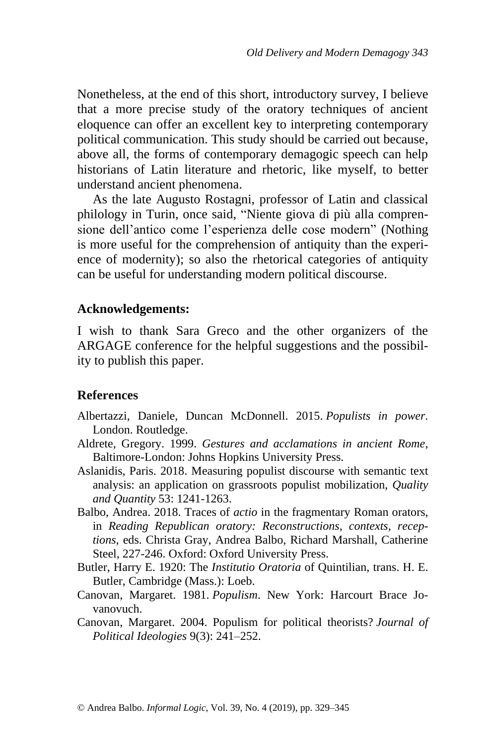Nonetheless, at the end of this short, introductory survey, I believe that a more precise study of the oratory techniques of ancient eloquence can offer an excellent key to interpreting contemporary political communication. This study should be carried out because, above all, the forms of contemporary demagogic speech can help historians of Latin literature and rhetoric, like myself, to better understand ancient phenomena.

As the late Augusto Rostagni, professor of Latin and classical philology in Turin, once said, "Niente giova di più alla comprensione dell'antico come l'esperienza delle cose modern" (Nothing is more useful for the comprehension of antiquity than the experience of modernity); so also the rhetorical categories of antiquity can be useful for understanding modern political discourse.

### **Acknowledgements:**

I wish to thank Sara Greco and the other organizers of the ARGAGE conference for the helpful suggestions and the possibility to publish this paper.

## **References**

- Albertazzi, Daniele, Duncan McDonnell. 2015. *Populists in power*. London. Routledge.
- Aldrete, Gregory. 1999. *Gestures and acclamations in ancient Rome*, Baltimore-London: Johns Hopkins University Press.
- Aslanidis, Paris. 2018. Measuring populist discourse with semantic text analysis: an application on grassroots populist mobilization, *Quality and Quantity* 53: 1241-1263.
- Balbo, Andrea. 2018. Traces of *actio* in the fragmentary Roman orators, in *Reading Republican oratory: Reconstructions, contexts, receptions*, eds. Christa Gray, Andrea Balbo, Richard Marshall, Catherine Steel, 227-246. Oxford: Oxford University Press.
- Butler, Harry E. 1920: The *Institutio Oratoria* of Quintilian, trans. H. E. Butler, Cambridge (Mass.): Loeb.
- Canovan, Margaret. 1981. *Populism*. New York: Harcourt Brace Jovanovuch.
- Canovan, Margaret. 2004. Populism for political theorists? *Journal of Political Ideologies* 9(3): 241–252.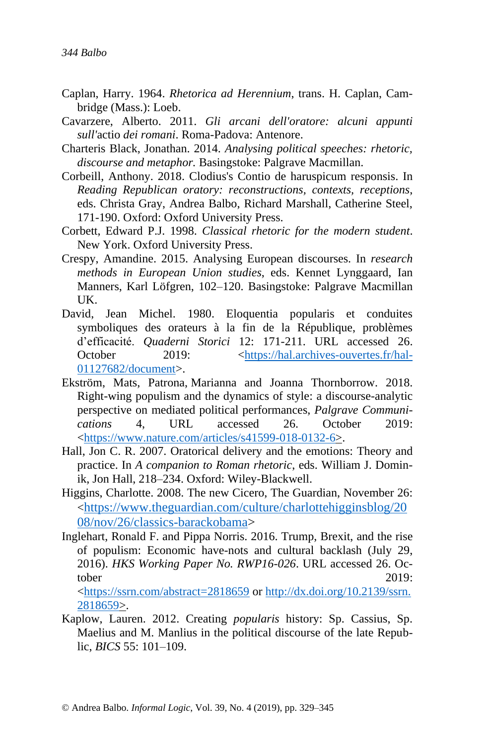- Caplan, Harry. 1964. *Rhetorica ad Herennium*, trans. H. Caplan, Cambridge (Mass.): Loeb.
- Cavarzere, Alberto. 2011. *Gli arcani dell'oratore: alcuni appunti sull'*actio *dei romani*. Roma-Padova: Antenore.
- Charteris Black, Jonathan. 2014. *Analysing political speeches: rhetoric, discourse and metaphor.* Basingstoke: Palgrave Macmillan.
- Corbeill, Anthony. 2018. Clodius's Contio de haruspicum responsis. In *Reading Republican oratory: reconstructions, contexts, receptions*, eds. Christa Gray, Andrea Balbo, Richard Marshall, Catherine Steel, 171-190. Oxford: Oxford University Press.
- Corbett, Edward P.J. 1998. *Classical rhetoric for the modern student*. New York. Oxford University Press.
- Crespy, Amandine. 2015. Analysing European discourses. In *research methods in European Union studies*, eds. Kennet Lynggaard, Ian Manners, Karl Löfgren, 102–120. Basingstoke: Palgrave Macmillan UK.
- David, Jean Michel. 1980. Eloquentia popularis et conduites symboliques des orateurs à la fin de la République, problèmes d'efficacité. *Quaderni Storici* 12: 171-211. URL accessed 26. October 2019:  $\langle \frac{https://hal.archive/ouvertes.fr/hal-$ [01127682/document>](https://hal.archives-ouvertes.fr/hal-01127682/document).
- Ekström, Mats, Patrona, Marianna and Joanna Thornborrow. 2018. Right-wing populism and the dynamics of style: a discourse-analytic perspective on mediated political performances, *Palgrave Communications* 4, URL accessed 26. October 2019: [<https://www.nature.com/articles/s41599-018-0132-6>](https://www.nature.com/articles/s41599-018-0132-6).
- Hall, Jon C. R. 2007. Oratorical delivery and the emotions: Theory and practice. In *A companion to Roman rhetoric*, eds. William J. Dominik, Jon Hall, 218–234. Oxford: Wiley-Blackwell.
- Higgins, Charlotte. 2008. The new Cicero, The Guardian, November 26: <[https://www.theguardian.com/culture/charlottehigginsblog/20](https://www.theguardian.com/culture/charlottehigginsblog/2008/nov/26/classics-barackobama) [08/nov/26/classics-barackobama>](https://www.theguardian.com/culture/charlottehigginsblog/2008/nov/26/classics-barackobama)
- Inglehart, Ronald F. and Pippa Norris. 2016. Trump, Brexit, and the rise of populism: Economic have-nots and cultural backlash (July 29, 2016). *HKS Working Paper No. RWP16-026*. URL accessed 26. October 2019:

[<https://ssrn.com/abstract=2818659](https://ssrn.com/abstract=2818659) or [http://dx.doi.org/10.2139/ssrn.](https://dx.doi.org/10.2139/ssrn.2818659) [2818659>](https://dx.doi.org/10.2139/ssrn.2818659).

Kaplow, Lauren. 2012. Creating *popularis* history: Sp. Cassius, Sp. Maelius and M. Manlius in the political discourse of the late Republic, *BICS* 55: 101–109.